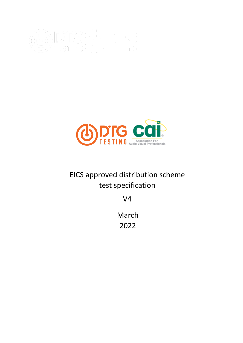



# EICS approved distribution scheme test specification

V4

March 2022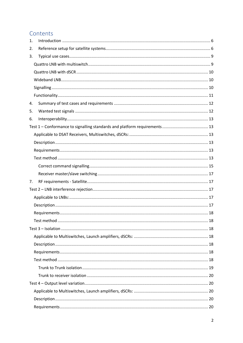# Contents

| 1. |  |  |  |
|----|--|--|--|
| 2. |  |  |  |
| 3. |  |  |  |
|    |  |  |  |
|    |  |  |  |
|    |  |  |  |
|    |  |  |  |
|    |  |  |  |
| 4. |  |  |  |
| 5. |  |  |  |
| 6. |  |  |  |
|    |  |  |  |
|    |  |  |  |
|    |  |  |  |
|    |  |  |  |
|    |  |  |  |
|    |  |  |  |
|    |  |  |  |
| 7. |  |  |  |
|    |  |  |  |
|    |  |  |  |
|    |  |  |  |
|    |  |  |  |
|    |  |  |  |
|    |  |  |  |
|    |  |  |  |
|    |  |  |  |
|    |  |  |  |
|    |  |  |  |
|    |  |  |  |
|    |  |  |  |
|    |  |  |  |
|    |  |  |  |
|    |  |  |  |
|    |  |  |  |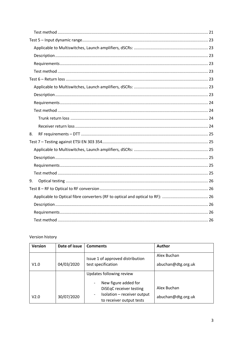| 8. |  |
|----|--|
|    |  |
|    |  |
|    |  |
|    |  |
|    |  |
| 9. |  |
|    |  |
|    |  |
|    |  |
|    |  |
|    |  |

Version history

| <b>Version</b> | Date of issue | <b>Comments</b>                                                                    | <b>Author</b>      |
|----------------|---------------|------------------------------------------------------------------------------------|--------------------|
|                |               | Issue 1 of approved distribution                                                   | Alex Buchan        |
| V1.0           | 04/03/2020    | test specification                                                                 | abuchan@dtg.org.uk |
|                |               | Updates following review                                                           |                    |
|                |               | New figure added for<br>$\qquad \qquad \blacksquare$<br>DiSEqC receiver testing    | Alex Buchan        |
| V2.0           | 30/07/2020    | Isolation - receiver output<br>-<br>abuchan@dtg.org.uk<br>to receiver output tests |                    |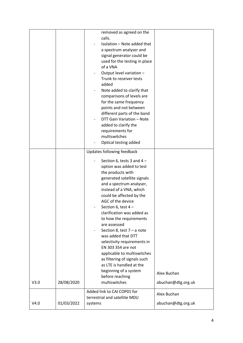| V3.0<br>V4.0 | 28/08/2020<br>01/03/2022 | and a spectrum analyser,<br>instead of a VNA, which<br>could be affected by the<br>AGC of the device<br>Section 6, test 4-<br>clarification was added as<br>to how the requirements<br>are assessed<br>Section 8, test $7 - a$ note<br>was added that DTT<br>selectivity requirements in<br>EN 303 354 are not<br>applicable to multiswitches<br>as filtering of signals such<br>as LTE is handled at the<br>beginning of a system<br>before reaching<br>multiswitches<br>Added link to CAI COP01 for<br>terrestrial and satellite MDU<br>systems | Alex Buchan<br>abuchan@dtg.org.uk<br>Alex Buchan<br>abuchan@dtg.org.uk |
|--------------|--------------------------|---------------------------------------------------------------------------------------------------------------------------------------------------------------------------------------------------------------------------------------------------------------------------------------------------------------------------------------------------------------------------------------------------------------------------------------------------------------------------------------------------------------------------------------------------|------------------------------------------------------------------------|
|              |                          | Updates following feedback<br>Section 6, tests 3 and $4-$<br>option was added to test<br>the products with<br>generated satellite signals                                                                                                                                                                                                                                                                                                                                                                                                         |                                                                        |
|              |                          | removed as agreed on the<br>calls.<br>Isolation - Note added that<br>a spectrum analyser and<br>signal generator could be<br>used for the testing in place<br>of a VNA<br>Output level variation -<br>Trunk to receiver tests<br>added<br>Note added to clarify that<br>comparisons of levels are<br>for the same frequency<br>points and not between<br>different parts of the band<br>DTT Gain Variation - Note<br>added to clarify the<br>requirements for<br>multiswitches<br>Optical testing added                                           |                                                                        |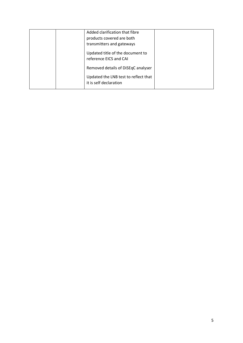|  | Added clarification that fibre<br>products covered are both |  |
|--|-------------------------------------------------------------|--|
|  |                                                             |  |
|  | transmitters and gateways                                   |  |
|  | Updated title of the document to                            |  |
|  | reference EICS and CAI                                      |  |
|  | Removed details of DiSEqC analyser                          |  |
|  | Updated the LNB test to reflect that                        |  |
|  | it is self declaration                                      |  |
|  |                                                             |  |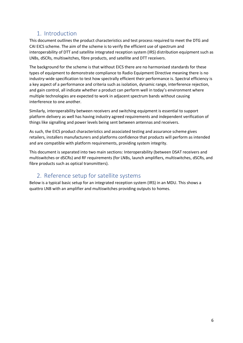# <span id="page-5-0"></span>1. Introduction

This document outlines the product characteristics and test process required to meet the DTG and CAI EICS scheme. The aim of the scheme is to verify the efficient use of spectrum and interoperability of DTT and satellite integrated reception system (IRS) distribution equipment such as LNBs, dSCRs, multiswitches, fibre products, and satellite and DTT receivers.

The background for the scheme is that without EICS there are no harmonised standards for these types of equipment to demonstrate compliance to Radio Equipment Directive meaning there is no industry-wide specification to test how spectrally efficient their performance is. Spectral efficiency is a key aspect of a performance and criteria such as isolation, dynamic range, interference rejection, and gain control, all indicate whether a product can perform well in today's environment where multiple technologies are expected to work in adjacent spectrum bands without causing interference to one another.

Similarly, interoperability between receivers and switching equipment is essential to support platform delivery as well has having industry agreed requirements and independent verification of things like signalling and power levels being sent between antennas and receivers.

As such, the EICS product characteristics and associated testing and assurance scheme gives retailers, installers manufacturers and platforms confidence that products will perform as intended and are compatible with platform requirements, providing system integrity.

This document is separated into two main sections: Interoperability (between DSAT receivers and multiswitches or dSCRs) and RF requirements (for LNBs, launch amplifiers, multiswitches, dSCRs, and fibre products such as optical transmitters).

# <span id="page-5-1"></span>2. Reference setup for satellite systems

Below is a typical basic setup for an integrated reception system (IRS) in an MDU. This shows a quattro LNB with an amplifier and multiswitches providing outputs to homes.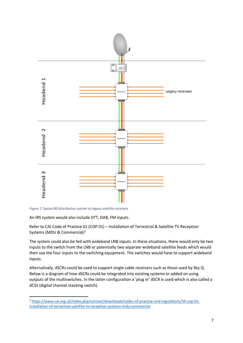

*Figure 1 Typical IRS distribution system to legacy satellite receivers* 

An IRS system would also include DTT, DAB, FM inputs.

Refer to CAI Code of Practice 01 (COP 01) – Installation of Terrestrial & Satellite TV Reception Systems (MDU & Commercial)<sup>1</sup>

The system could also be fed with wideband LNB inputs. In these situations, there would only be two inputs to the switch from the LNB or potentially two separate wideband satellite feeds which would then use the four inputs to the switching equipment. The switches would have to support wideband inputs.

Alternatively, dSCRs could be used to support single cable receivers such as those used by Sky Q. Below is a diagram of how dSCRs could be integrated into existing systems or added on using outputs of the multiswitches. In the latter configuration a 'plug in' dSCR is used which is also called a dCSS (digital channel stacking switch).

<sup>1</sup> [https://www.cai.org.uk/index.php/contact/downloads/codes-of-practice-and-regulations/50-cop-01](https://www.cai.org.uk/index.php/contact/downloads/codes-of-practice-and-regulations/50-cop-01-installation-of-terrestrial-satellite-tv-reception-systems-mdu-commercial) [installation-of-terrestrial-satellite-tv-reception-systems-mdu-commercial](https://www.cai.org.uk/index.php/contact/downloads/codes-of-practice-and-regulations/50-cop-01-installation-of-terrestrial-satellite-tv-reception-systems-mdu-commercial)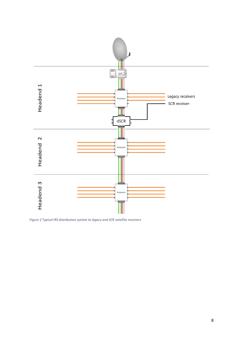

*Figure 2 Typical IRS distribution system to legacy and SCR satellite receivers*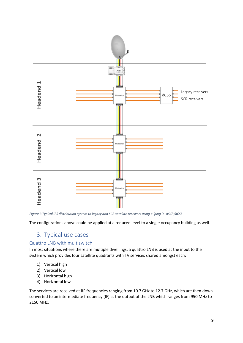

*Figure 3 Typical IRS distribution system to legacy and SCR satellite receivers using a 'plug in' dSCR/dCSS*

The configurations above could be applied at a reduced level to a single occupancy building as well.

# <span id="page-8-0"></span>3. Typical use cases

# <span id="page-8-1"></span>Quattro LNB with multiswitch

In most situations where there are multiple dwellings, a quattro LNB is used at the input to the system which provides four satellite quadrants with TV services shared amongst each:

- 1) Vertical high
- 2) Vertical low
- 3) Horizontal high
- 4) Horizontal low

The services are received at RF frequencies ranging from 10.7 GHz to 12.7 GHz, which are then down converted to an intermediate frequency (IF) at the output of the LNB which ranges from 950 MHz to 2150 MHz.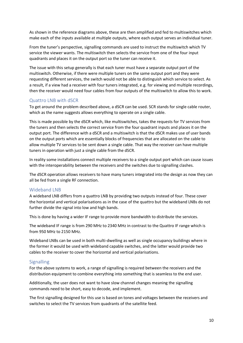As shown in the reference diagrams above, these are then amplified and fed to multiswitches which make each of the inputs available at multiple outputs, where each output serves an individual tuner.

From the tuner's perspective, signalling commands are used to instruct the multiswitch which TV service the viewer wants. The multiswitch then selects the service from one of the four input quadrants and places it on the output port so the tuner can receive it.

The issue with this setup generally is that each tuner must have a separate output port of the multiswitch. Otherwise, if there were multiple tuners on the same output port and they were requesting different services, the switch would not be able to distinguish which service to select. As a result, if a view had a receiver with four tuners integrated, e.g. for viewing and multiple recordings, then the receiver would need four cables from four outputs of the multiswitch to allow this to work.

#### <span id="page-9-0"></span>Quattro LNB with dSCR

To get around the problem described above, a dSCR can be used. SCR stands for single cable router, which as the name suggests allows everything to operate on a single cable.

This is made possible by the dSCR which, like multiswitches, takes the requests for TV services from the tuners and then selects the correct service from the four quadrant inputs and places it on the output port. The difference with a dSCR and a multiswitch is that the dSCR makes use of user bands on the output ports which are essentially blocks of frequencies that are allocated on the cable to allow multiple TV services to be sent down a single cable. That way the receiver can have multiple tuners in operation with just a single cable from the dSCR.

In reality some installations connect multiple receivers to a single output port which can cause issues with the interoperability between the receivers and the switches due to signalling clashes.

The dSCR operation allows receivers to have many tuners integrated into the design as now they can all be fed from a single RF connection.

#### <span id="page-9-1"></span>Wideband LNB

A wideband LNB differs from a quattro LNB by providing two outputs instead of four. These cover the horizontal and vertical polarisations as in the case of the quattro but the wideband LNBs do not further divide the signal into low and high bands.

This is done by having a wider IF range to provide more bandwidth to distribute the services.

The wideband IF range is from 290 MHz to 2340 MHz in contrast to the Quattro IF range which is from 950 MHz to 2150 MHz.

Wideband LNBs can be used in both multi-dwelling as well as single occupancy buildings where in the former it would be used with wideband capable switches, and the latter would provide two cables to the receiver to cover the horizontal and vertical polarisations.

#### <span id="page-9-2"></span>**Signalling**

For the above systems to work, a range of signalling is required between the receivers and the distribution equipment to combine everything into something that is seamless to the end user.

Additionally, the user does not want to have slow channel changes meaning the signalling commands need to be short, easy to decode, and implement.

The first signalling designed for this use is based on tones and voltages between the receivers and switches to select the TV services from quadrants of the satellite feed.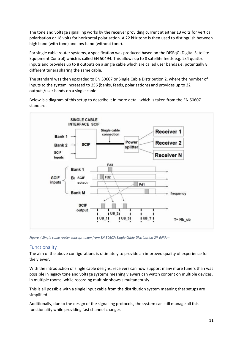The tone and voltage signalling works by the receiver providing current at either 13 volts for vertical polarisation or 18 volts for horizontal polarisation. A 22 kHz tone is then used to distinguish between high band (with tone) and low band (without tone).

For single cable router systems, a specification was produced based on the DiSEqC (Digital Satellite Equipment Control) which is called EN 50494. This allows up to 8 satellite feeds e.g. 2x4 quattro inputs and provides up to 8 outputs on a single cable which are called user bands i.e. potentially 8 different tuners sharing the same cable.

The standard was then upgraded to EN 50607 or Single Cable Distribution 2, where the number of inputs to the system increased to 256 (banks, feeds, polarisations) and provides up to 32 outputs/user bands on a single cable.



Below is a diagram of this setup to describe it in more detail which is taken from the EN 50607 standard.

*Figure 4 Single cable router concept taken from EN 50607: Single Cable Distribution 2nd Edition*

### <span id="page-10-0"></span>Functionality

The aim of the above configurations is ultimately to provide an improved quality of experience for the viewer.

With the introduction of single cable designs, receivers can now support many more tuners than was possible in legacy tone and voltage systems meaning viewers can watch content on multiple devices, in multiple rooms, while recording multiple shows simultaneously.

This is all possible with a single input cable from the distribution system meaning that setups are simplified.

Additionally, due to the design of the signalling protocols, the system can still manage all this functionality while providing fast channel changes.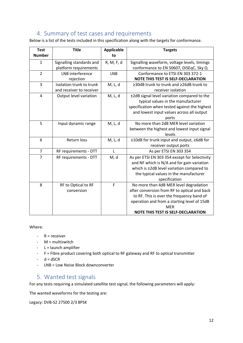# <span id="page-11-0"></span>4. Summary of test cases and requirements

Below is a list of the tests included in this specification along with the targets for conformance.

| <b>Test</b>    | <b>Title</b>             | <b>Applicable</b> | <b>Targets</b>                                      |
|----------------|--------------------------|-------------------|-----------------------------------------------------|
| <b>Number</b>  |                          | to                |                                                     |
| 1              | Signalling standards and | R, M, F, d        | Signalling waveform, voltage levels, timings        |
|                | platform requirements    |                   | conformance to EN 50607, DiSEqC, Sky Q              |
| $\overline{2}$ | LNB interference         | <b>LNB</b>        | Conformance to ETSI EN 303 372-1                    |
|                | rejection                |                   | <b>NOTE THIS TEST IS SELF-DECLARATION</b>           |
| 3              | Isolation trunk to trunk | M, L, d           | $\geq$ 30dB trunk to trunk and $\geq$ 26dB trunk to |
|                | and receiver to receiver |                   | receiver isolation                                  |
| 4              | Output level variation   | M, L, d           | ±2dB signal level variation compared to the         |
|                |                          |                   | typical values in the manufacturer                  |
|                |                          |                   | specification when tested against the highest       |
|                |                          |                   | and lowest input values across all output           |
|                |                          |                   | ports                                               |
| 5              | Input dynamic range      | M, L, d           | No more than 2dB MER level variation                |
|                |                          |                   | between the highest and lowest input signal         |
|                |                          |                   | levels                                              |
| 6              | <b>Return loss</b>       | M, L, d           | ≥10dB for trunk input and output, ≥6dB for          |
|                |                          |                   | receiver output ports                               |
| $\overline{7}$ | RF requirements - DTT    | $\mathsf{L}$      | As per ETSI EN 303 354                              |
| $\overline{7}$ | RF requirements - DTT    | M, d              | As per ETSI EN 303 354 except for Selectivity       |
|                |                          |                   | and NF which is N/A and for gain variation          |
|                |                          |                   | which is ±2dB level variation compared to           |
|                |                          |                   | the typical values in the manufacturer              |
|                |                          |                   | specification                                       |
| 8              | RF to Optical to RF      | F                 | No more than 4dB MER level degradation              |
|                | conversion               |                   | after conversion from RF to optical and back        |
|                |                          |                   | to RF. This is over the frequency band of           |
|                |                          |                   | operation and from a starting level of 15dB         |
|                |                          |                   | <b>MER</b>                                          |
|                |                          |                   | <b>NOTE THIS TEST IS SELF-DECLARATION</b>           |

Where:

- $-R =$  receiver
- M = multiswitch
- $-L =$  launch amplifier
- F = Fibre product covering both optical to RF gateway and RF to optical transmitter
- $-d = dSCR$
- LNB = Low Noise Block downconverter

# <span id="page-11-1"></span>5. Wanted test signals

For any tests requiring a simulated satellite test signal, the following parameters will apply:

The wanted waveforms for the testing are:

Legacy: DVB-S2 27500 2/3 8PSK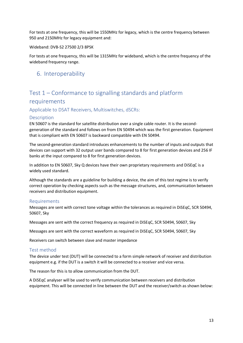For tests at one frequency, this will be 1550MHz for legacy, which is the centre frequency between 950 and 2150MHz for legacy equipment and:

Wideband: DVB-S2 27500 2/3 8PSK

For tests at one frequency, this will be 1315MHz for wideband, which is the centre frequency of the wideband frequency range.

# <span id="page-12-0"></span>6. Interoperability

# <span id="page-12-1"></span>Test 1 – Conformance to signalling standards and platform requirements

<span id="page-12-2"></span>Applicable to DSAT Receivers, Multiswitches, dSCRs:

# <span id="page-12-3"></span>Description

EN 50607 is the standard for satellite distribution over a single cable router. It is the secondgeneration of the standard and follows on from EN 50494 which was the first generation. Equipment that is compliant with EN 50607 is backward compatible with EN 50494.

The second-generation standard introduces enhancements to the number of inputs and outputs that devices can support with 32 output user bands compared to 8 for first generation devices and 256 IF banks at the input compared to 8 for first generation devices.

In addition to EN 50607, Sky Q devices have their own proprietary requirements and DiSEqC is a widely used standard.

Although the standards are a guideline for building a device, the aim of this test regime is to verify correct operation by checking aspects such as the message structures, and, communication between receivers and distribution equipment.

### <span id="page-12-4"></span>Requirements

Messages are sent with correct tone voltage within the tolerances as required in DiSEqC, SCR 50494, 50607, Sky

Messages are sent with the correct frequency as required in DiSEqC, SCR 50494, 50607, Sky

Messages are sent with the correct waveform as required in DiSEqC, SCR 50494, 50607, Sky

Receivers can switch between slave and master impedance

### <span id="page-12-5"></span>Test method

The device under test (DUT) will be connected to a form simple network of receiver and distribution equipment e.g. if the DUT is a switch it will be connected to a receiver and vice versa.

The reason for this is to allow communication from the DUT.

A DiSEqC analyser will be used to verify communication between receivers and distribution equipment. This will be connected in line between the DUT and the receiver/switch as shown below: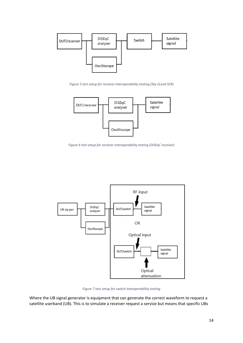

<span id="page-13-0"></span>*Figure 5 test setup for receiver interoperability testing (Sky Q and SCR)*



<span id="page-13-2"></span>*Figure 6 test setup for receiver interoperability testing (DiSEqC receiver)*



*Figure 7 test setup for switch interoperability testing*

<span id="page-13-1"></span>Where the UB signal generator is equipment that can generate the correct waveform to request a satellite userband (UB). This is to simulate a receiver request a service but means that specific UBs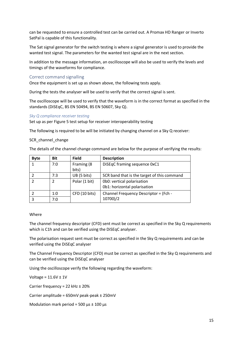can be requested to ensure a controlled test can be carried out. A Promax HD Ranger or Inverto SatPal is capable of this functionality.

The Sat signal generator for the switch testing is where a signal generator is used to provide the wanted test signal. The parameters for the wanted test signal are in the next section.

In addition to the message information, an oscilloscope will also be used to verify the levels and timings of the waveforms for compliance.

#### <span id="page-14-0"></span>Correct command signalling

Once the equipment is set up as shown above, the following tests apply.

During the tests the analyser will be used to verify that the correct signal is sent.

The oscilloscope will be used to verify that the waveform is in the correct format as specified in the standards (DiSEqC, BS EN 50494, BS EN 50607, Sky Q).

#### *Sky Q compliance receiver testing*

Set up as per Figure 5 [test setup for receiver interoperability](#page-13-0) testing

The following is required to be will be initiated by changing channel on a Sky Q receiver:

#### SCR\_channel\_change

The details of the channel change command are below for the purpose of verifying the results:

| <b>Byte</b> | <b>Bit</b> | <b>Field</b>  | <b>Description</b>                          |
|-------------|------------|---------------|---------------------------------------------|
|             | 7:0        | Framing (8    | DiSEqC framing sequence 0xC1                |
|             |            | bits)         |                                             |
|             | 7:3        | UB (5 bits)   | SCR band that is the target of this command |
|             |            | Polar (1 bit) | 0b0: vertical polarisation                  |
|             |            |               | 0b1: horizontal polarisation                |
|             | 1:0        | CFD (10 bits) | Channel Frequency Descriptor = (Fch -       |
|             | 7:0        |               | 10700)/2                                    |

#### Where

The channel frequency descriptor (CFD) sent must be correct as specified in the Sky Q requirements which is C1h and can be verified using the DiSEqC analyser.

The polarisation request sent must be correct as specified in the Sky Q requirements and can be verified using the DiSEqC analyser

The Channel Frequency Descriptor (CFD) must be correct as specified in the Sky Q requirements and can be verified using the DiSEqC analyser

Using the oscilloscope verify the following regarding the waveform:

Voltage =  $11.6V \pm 1V$ 

Carrier frequency = 22 kHz ± 20%

Carrier amplitude = 650mV peak-peak ± 250mV

Modulation mark period = 500  $\mu$ s ± 100  $\mu$ s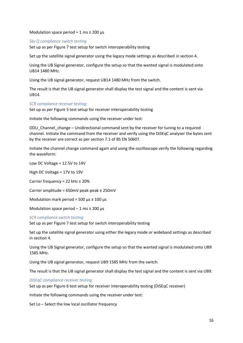Modulation space period =  $1 \text{ ms } \pm 200 \text{ }\mu\text{s}$ 

#### *Sky Q compliance switch testing*

Set up as per Figure 7 [test setup for switch interoperability testing](#page-13-1)

Set up the satellite signal generator using the legacy mode settings as described in section [4.](#page-11-0)

Using the UB Signal generator, configure the setup so that the wanted signal is modulated onto UB14 1480 MHz.

Using the UB signal generator, request UB14 1480 MHz from the switch.

The result is that the UB signal generator shall display the test signal and the content is sent via UB14.

#### *SCR compliance receiver testing:*

Set up as per Figure 5 [test setup for receiver interoperability](#page-13-0) testing

Initiate the following commands using the receiver under test:

ODU\_Channel\_change – Unidirectional command sent by the receiver for tuning to a required channel. Initiate the command from the receiver and verify using the DiSEqC analyser the bytes sent by the receiver are correct as per section 7.1 of BS EN 50607.

Initiate the channel change command again and using the oscilloscope verify the following regarding the waveform:

Low DC Voltage = 12.5V to 14V

High DC Voltage = 17V to 19V

Carrier frequency = 22 kHz ± 20%

Carrier amplitude = 650mV peak-peak ± 250mV

Modulation mark period = 500  $\mu$ s ± 100  $\mu$ s

Modulation space period  $-1$  ms  $\pm$  200  $\mu$ s

#### *SCR compliance switch testing*

Set up as per Figure 7 [test setup for switch interoperability testing](#page-13-1)

Set up the satellite signal generator using either the legacy mode or wideband settings as described in section [4.](#page-11-0)

Using the UB Signal generator, configure the setup so that the wanted signal is modulated onto UB9 1585 MHz.

Using the UB signal generator, request UB9 1585 MHz from the switch.

The result is that the UB signal generator shall display the test signal and the content is sent via UB9.

#### *DiSEqC compliance receiver testing*

Set up as per Figure 6 [test setup for receiver interoperability testing \(DiSEqC receiver\)](#page-13-2)

Initiate the following commands using the receiver under test:

Set Lo – Select the low local oscillator frequency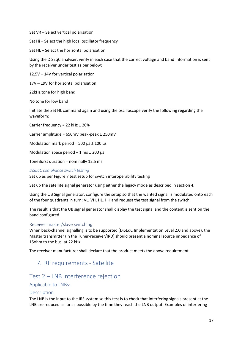Set VR – Select vertical polarisation

Set Hi – Select the high local oscillator frequency

Set HL – Select the horizontal polarisation

Using the DiSEqC analyser, verify in each case that the correct voltage and band information is sent by the receiver under test as per below:

12.5V – 14V for vertical polarisation

17V – 19V for horizontal polarisation

22kHz tone for high band

No tone for low band

Initiate the Set HL command again and using the oscilloscope verify the following regarding the waveform:

Carrier frequency = 22 kHz ± 20%

Carrier amplitude = 650mV peak-peak ± 250mV

Modulation mark period = 500  $\mu$ s ± 100  $\mu$ s

Modulation space period  $-1$  ms  $\pm$  200  $\mu$ s

ToneBurst duration = nominally 12.5 ms

#### *DiSEqC compliance switch testing*

Set up as per Figure 7 [test setup for switch interoperability testing](#page-13-1)

Set up the satellite signal generator using either the legacy mode as described in section [4.](#page-11-0)

Using the UB Signal generator, configure the setup so that the wanted signal is modulated onto each of the four quadrants in turn: VL, VH, HL, HH and request the test signal from the switch.

The result is that the UB signal generator shall display the test signal and the content is sent on the band configured.

#### <span id="page-16-0"></span>Receiver master/slave switching

When back-channel signalling is to be supported (DiSEqC Implementation Level 2.0 and above), the Master transmitter (in the Tuner-receiver/IRD) should present a nominal source impedance of 15ohm to the bus, at 22 kHz.

<span id="page-16-1"></span>The receiver manufacturer shall declare that the product meets the above requirement

# 7. RF requirements - Satellite

# <span id="page-16-2"></span>Test 2 – LNB interference rejection

#### <span id="page-16-3"></span>Applicable to LNBs:

#### <span id="page-16-4"></span>Description

The LNB is the input to the IRS system so this test is to check that interfering signals present at the LNB are reduced as far as possible by the time they reach the LNB output. Examples of interfering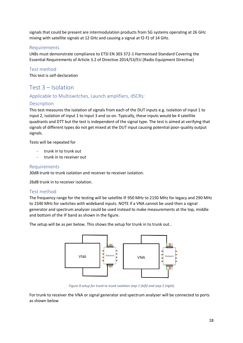signals that could be present are intermodulation products from 5G systems operating at 26 GHz mixing with satellite signals at 12 GHz and causing a signal at f2-f1 of 14 GHz.

### <span id="page-17-0"></span>Requirements

LNBs must demonstrate compliance to ETSI EN 303 372-1 Harmonised Standard Covering the Essential Requirements of Article 3.2 of Directive 2014/53/EU (Radio Equipment Directive)

<span id="page-17-1"></span>Test method

This test is self-declaration

# <span id="page-17-2"></span>Test 3 – Isolation

### <span id="page-17-3"></span>Applicable to Multiswitches, Launch amplifiers, dSCRs:

### <span id="page-17-4"></span>Description

This test measures the isolation of signals from each of the DUT inputs e.g. isolation of input 1 to input 2, isolation of input 1 to input 3 and so on. Typically, these inputs would be 4 satellite quadrants and DTT but the test is independent of the signal type. The test is aimed at verifying that signals of different types do not get mixed at the DUT input causing potential poor-quality output signals.

Tests will be repeated for

- trunk in to trunk out
- trunk in to receiver out

### <span id="page-17-5"></span>Requirements

30dB trunk to trunk isolation and receiver to receiver isolation.

26dB trunk in to receiver isolation.

### <span id="page-17-6"></span>Test method

The frequency range for the testing will be satellite IF 950 MHz to 2150 MHz for legacy and 290 MHz to 2340 MHz for switches with wideband inputs. NOTE if a VNA cannot be used then a signal generator and spectrum analyser could be used instead to make measurements at the top, middle and bottom of the IF band as shown in the figure.

The setup will be as per below. This shows the setup for trunk in to trunk out..



*Figure 8 setup for trunk to trunk isolation step 1 (left) and step 2 (right)*

For trunk to receiver the VNA or signal generator and spectrum analyser will be connected to ports as shown below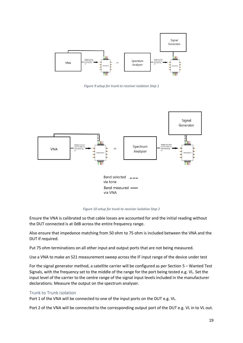

*Figure 9 setup for trunk to receiver isolation Step 1*



*Figure 10 setup for trunk to receiver isolation Step 2*

Ensure the VNA is calibrated so that cable losses are accounted for and the initial reading without the DUT connected is at 0dB across the entire frequency range.

Also ensure that impedance matching from 50 ohm to 75 ohm is included between the VNA and the DUT if required.

Put 75 ohm terminations on all other input and output ports that are not being measured.

Use a VNA to make an S21 measurement sweep across the IF input range of the device under test

For the signal generator method, a satellite carrier will be configured as per Section [5](#page-11-1) – Wanted Test Signals, with the frequency set to the middle of the range for the port being tested e.g. VL. Set the input level of the carrier to the centre range of the signal input levels included in the manufacturer declarations. Measure the output on the spectrum analyser.

#### <span id="page-18-0"></span>Trunk to Trunk isolation

Port 1 of the VNA will be connected to one of the input ports on the DUT e.g. VL.

Port 2 of the VNA will be connected to the corresponding output port of the DUT e.g. VL in to VL out.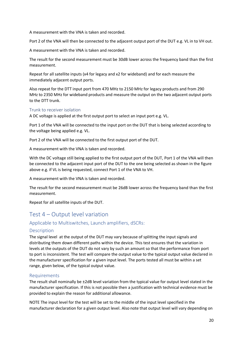A measurement with the VNA is taken and recorded.

Port 2 of the VNA will then be connected to the adjacent output port of the DUT e.g. VL in to VH out.

A measurement with the VNA is taken and recorded.

The result for the second measurement must be 30dB lower across the frequency band than the first measurement.

Repeat for all satellite inputs (x4 for legacy and x2 for wideband) and for each measure the immediately adjacent output ports.

Also repeat for the DTT input port from 470 MHz to 2150 MHz for legacy products and from 290 MHz to 2350 MHz for wideband products and measure the output on the two adjacent output ports to the DTT trunk.

### <span id="page-19-0"></span>Trunk to receiver isolation

A DC voltage is applied at the first output port to select an input port e.g. VL.

Port 1 of the VNA will be connected to the input port on the DUT that is being selected according to the voltage being applied e.g. VL.

Port 2 of the VNA will be connected to the first output port of the DUT.

A measurement with the VNA is taken and recorded.

With the DC voltage still being applied to the first output port of the DUT, Port 1 of the VNA will then be connected to the adjacent input port of the DUT to the one being selected as shown in the figure above e.g. if VL is being requested, connect Port 1 of the VNA to VH.

A measurement with the VNA is taken and recorded.

The result for the second measurement must be 26dB lower across the frequency band than the first measurement.

Repeat for all satellite inputs of the DUT.

# <span id="page-19-1"></span>Test 4 – Output level variation

### <span id="page-19-2"></span>Applicable to Multiswitches, Launch amplifiers, dSCRs:

### <span id="page-19-3"></span>Description

The signal level at the output of the DUT may vary because of splitting the input signals and distributing them down different paths within the device. This test ensures that the variation in levels at the outputs of the DUT do not vary by such an amount so that the performance from port to port is inconsistent. The test will compare the output value to the typical output value declared in the manufacturer specification for a given input level. The ports tested all must be within a set range, given below, of the typical output value.

#### <span id="page-19-4"></span>Requirements

The result shall nominally be ±2dB level variation from the typical value for output level stated in the manufacturer specification. If this is not possible then a justification with technical evidence must be provided to explain the reason for additional allowance.

NOTE The input level for the test will be set to the middle of the input level specified in the manufacturer declaration for a given output level. Also note that output level will vary depending on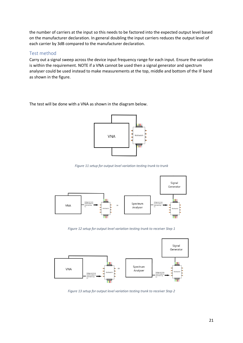the number of carriers at the input so this needs to be factored into the expected output level based on the manufacturer declaration. In general doubling the input carriers reduces the output level of each carrier by 3dB compared to the manufacturer declaration.

### <span id="page-20-0"></span>Test method

Carry out a signal sweep across the device input frequency range for each input. Ensure the variation is within the requirement. NOTE if a VNA cannot be used then a signal generator and spectrum analyser could be used instead to make measurements at the top, middle and bottom of the IF band as shown in the figure.

The test will be done with a VNA as shown in the diagram below.



*Figure 11 setup for output level variation testing trunk to trunk*



*Figure 12 setup for output level variation testing trunk to receiver Step 1*

<span id="page-20-1"></span>

<span id="page-20-2"></span>*Figure 13 setup for output level variation testing trunk to receiver Step 2*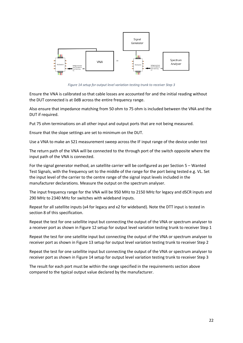

*Figure 14 setup for output level variation testing trunk to receiver Step 3*

<span id="page-21-0"></span>Ensure the VNA is calibrated so that cable losses are accounted for and the initial reading without the DUT connected is at 0dB across the entire frequency range.

Also ensure that impedance matching from 50 ohm to 75 ohm is included between the VNA and the DUT if required.

Put 75 ohm terminations on all other input and output ports that are not being measured.

Ensure that the slope settings are set to minimum on the DUT.

Use a VNA to make an S21 measurement sweep across the IF input range of the device under test

The return path of the VNA will be connected to the through port of the switch opposite where the input path of the VNA is connected.

For the signal generator method, an satellite carrier will be configured as per Section [5](#page-11-1) – Wanted Test Signals, with the frequency set to the middle of the range for the port being tested e.g. VL. Set the input level of the carrier to the centre range of the signal input levels included in the manufacturer declarations. Measure the output on the spectrum analyser.

The input frequency range for the VNA will be 950 MHz to 2150 MHz for legacy and dSCR inputs and 290 MHz to 2340 MHz for switches with wideband inputs.

Repeat for all satellite inputs (x4 for legacy and x2 for wideband). Note the DTT input is tested in sectio[n 8](#page-24-0) of this specification.

Repeat the test for one satellite input but connecting the output of the VNA or spectrum analyser to a receiver port as shown in Figure 12 [setup for output level variation testing trunk to receiver Step 1](#page-20-1)

Repeat the test for one satellite input but connecting the output of the VNA or spectrum analyser to receiver port as shown in Figure 13 [setup for output level variation testing trunk to receiver Step 2](#page-20-2)

Repeat the test for one satellite input but connecting the output of the VNA or spectrum analyser to receiver port as shown in Figure 14 [setup for output level variation testing trunk to receiver Step 3](#page-21-0)

The result for each port must be within the range specified in the requirements section above compared to the typical output value declared by the manufacturer.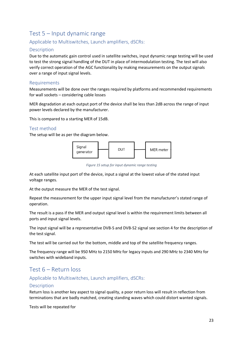# <span id="page-22-0"></span>Test 5 – Input dynamic range

# <span id="page-22-1"></span>Applicable to Multiswitches, Launch amplifiers, dSCRs:

#### <span id="page-22-2"></span>Description

Due to the automatic gain control used in satellite switches, input dynamic range testing will be used to test the strong signal handling of the DUT in place of intermodulation testing. The test will also verify correct operation of the AGC functionality by making measurements on the output signals over a range of input signal levels.

### <span id="page-22-3"></span>Requirements

Measurements will be done over the ranges required by platforms and recommended requirements for wall sockets – considering cable losses

MER degradation at each output port of the device shall be less than 2dB across the range of input power levels declared by the manufacturer.

This is compared to a starting MER of 15dB.

### <span id="page-22-4"></span>Test method

The setup will be as per the diagram below.



*Figure 15 setup for input dynamic range testing*

At each satellite input port of the device, input a signal at the lowest value of the stated input voltage ranges.

At the output measure the MER of the test signal.

Repeat the measurement for the upper input signal level from the manufacturer's stated range of operation.

The result is a pass if the MER and output signal level is within the requirement limits between all ports and input signal levels.

The input signal will be a representative DVB-S and DVB-S2 signal see section [4](#page-11-0) for the description of the test signal.

The test will be carried out for the bottom, middle and top of the satellite frequency ranges.

The frequency range will be 950 MHz to 2150 MHz for legacy inputs and 290 MHz to 2340 MHz for switches with wideband inputs.

# <span id="page-22-5"></span>Test 6 – Return loss

### <span id="page-22-6"></span>Applicable to Multiswitches, Launch amplifiers, dSCRs:

#### <span id="page-22-7"></span>Description

Return loss is another key aspect to signal quality, a poor return loss will result in reflection from terminations that are badly matched, creating standing waves which could distort wanted signals.

Tests will be repeated for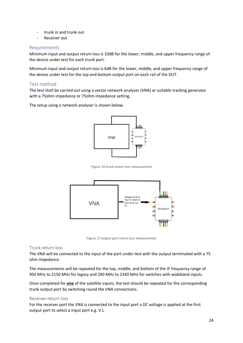- trunk in and trunk out
- Receiver out

### <span id="page-23-0"></span>**Requirements**

Minimum input and output return loss is 10dB for the lower, middle, and upper frequency range of the device under test for each trunk port.

Minimum input and output return loss is 6dB for the lower, middle, and upper frequency range of the device under test for the top and bottom output port on each rail of the DUT.

### <span id="page-23-1"></span>Test method

The test shall be carried out using a vector network analyser (VNA) or suitable tracking generator with a 75ohm impedance or 75ohm impedance setting.

The setup using a network analyser is shown below.



*Figure 16 trunk return loss measurement*



*Figure 17 output port return loss measurement*

#### <span id="page-23-2"></span>Trunk return loss

The VNA will be connected to the input of the port under test with the output terminated with a 75 ohm impedance.

The measurements will be repeated for the top, middle, and bottom of the IF frequency range of 950 MHz to 2150 MHz for legacy and 290 MHz to 2340 MHz for switches with wideband inputs.

Once completed for **one** of the satellite inputs, the test should be repeated for the corresponding trunk output port by switching round the VNA connections.

#### <span id="page-23-3"></span>Receiver return loss

For the receiver port the VNA is connected to the input port a DC voltage is applied at the first output port to select a input port e.g. V.L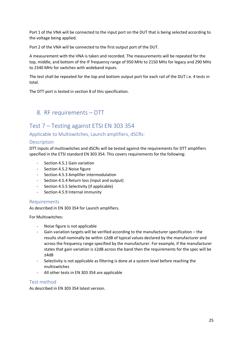Port 1 of the VNA will be connected to the input port on the DUT that is being selected according to the voltage being applied.

Port 2 of the VNA will be connected to the first output port of the DUT.

A measurement with the VNA is taken and recorded. The measurements will be repeated for the top, middle, and bottom of the IF frequency range of 950 MHz to 2150 MHz for legacy and 290 MHz to 2340 MHz for switches with wideband inputs.

The test shall be repeated for the top and bottom output port for each rail of the DUT i.e. 4 tests in total.

The DTT port is tested in section [8](#page-24-0) of this specification.

# <span id="page-24-0"></span>8. RF requirements – DTT

# <span id="page-24-1"></span>Test 7 – Testing against ETSI EN 303 354

<span id="page-24-2"></span>Applicable to Multiswitches, Launch amplifiers, dSCRs:

#### <span id="page-24-3"></span>Description

DTT inputs of multiswitches and dSCRs will be tested against the requirements for DTT amplifiers specified in the ETSI standard EN 303 354. This covers requirements for the following:

- Section 4.5.1 Gain variation
- Section 4.5.2 Noise figure
- Section 4.5.3 Amplifier intermodulation
- Section 4.5.4 Return loss (input and output)
- Section 4.5.5 Selectivity (if applicable)
- Section 4.5.9 Internal immunity

#### <span id="page-24-4"></span>Requirements

As described in EN 303 354 for Launch amplifiers.

For Multiswitches:

- Noise figure is not applicable
- Gain variation targets will be verified according to the manufacturer specification the results shall nominally be within ±2dB of typical values declared by the manufacturer and across the frequency range specified by the manufacturer. For example, if the manufacturer states that gain variation is ±2dB across the band then the requirements for the spec will be ±4dB
- Selectivity is not applicable as filtering is done at a system level before reaching the multiswitches
- All other tests in EN 303 354 are applicable

#### <span id="page-24-5"></span>Test method

As described in EN 303 354 latest version.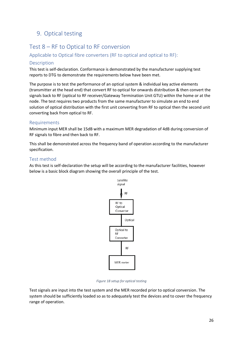# <span id="page-25-0"></span>9. Optical testing

# <span id="page-25-1"></span>Test 8 – RF to Optical to RF conversion

# <span id="page-25-2"></span>Applicable to Optical fibre converters (RF to optical and optical to RF):

### <span id="page-25-3"></span>**Description**

This test is self-declaration. Conformance is demonstrated by the manufacturer supplying test reports to DTG to demonstrate the requirements below have been met.

The purpose is to test the performance of an optical system & individual key active elements (transmitter at the head end) that convert RF to optical for onwards distribution & then convert the signals back to RF (optical to RF receiver/Gateway Termination Unit GTU) within the home or at the node. The test requires two products from the same manufacturer to simulate an end to end solution of optical distribution with the first unit converting from RF to optical then the second unit converting back from optical to RF.

### <span id="page-25-4"></span>Requirements

Minimum input MER shall be 15dB with a maximum MER degradation of 4dB during conversion of RF signals to fibre and then back to RF.

This shall be demonstrated across the frequency band of operation according to the manufacturer specification.

### <span id="page-25-5"></span>Test method

As this test is self-declaration the setup will be according to the manufacturer facilities, however below is a basic block diagram showing the overall principle of the test.



*Figure 18 setup for optical testing*

Test signals are input into the test system and the MER recorded prior to optical conversion. The system should be sufficiently loaded so as to adequately test the devices and to cover the frequency range of operation.